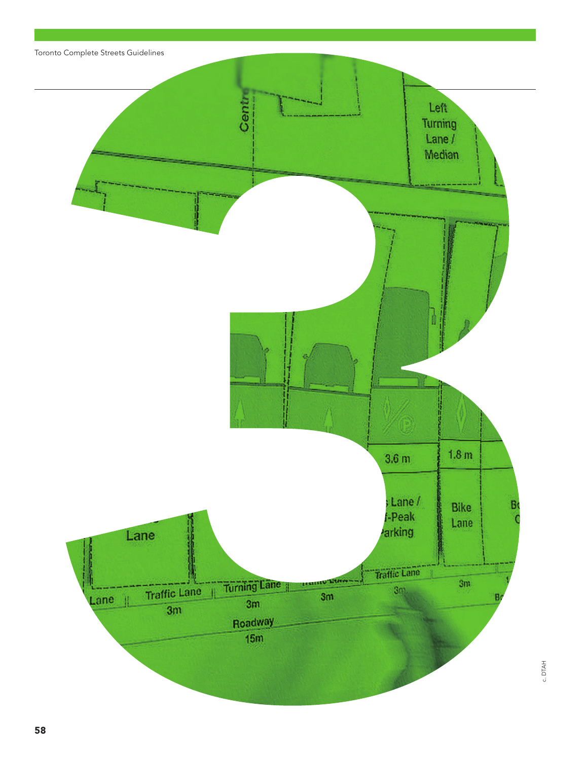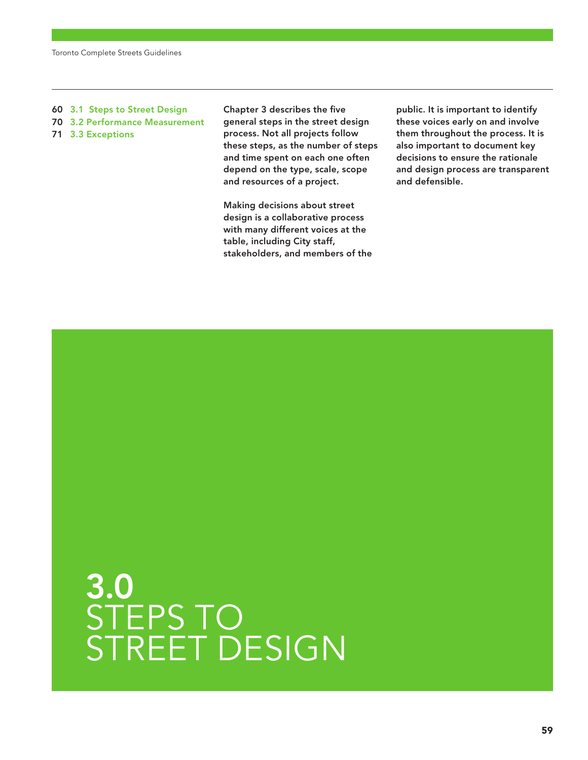- 60 3.1 Steps to Street Design
- 70 3.2 Performance Measurement
- 71 3.3 Exceptions

Chapter 3 describes the five general steps in the street design process. Not all projects follow these steps, as the number of steps and time spent on each one often depend on the type, scale, scope and resources of a project.

Making decisions about street design is a collaborative process with many different voices at the table, including City staff, stakeholders, and members of the public. It is important to identify these voices early on and involve them throughout the process. It is also important to document key decisions to ensure the rationale and design process are transparent and defensible.

# 3.0 STEPS TO STREET DESIGN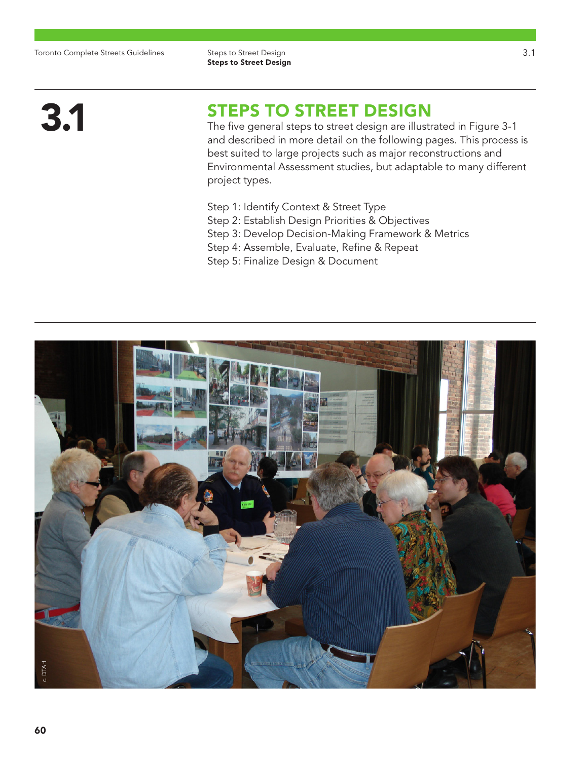Toronto Complete Streets Guidelines 3.1

Steps to Street Design Steps to Street Design

## **3.1** STEPS TO STREET DESIGN<br>The five general steps to street design are illustr

The five general steps to street design are illustrated in Figure 3-1 and described in more detail on the following pages. This process is best suited to large projects such as major reconstructions and Environmental Assessment studies, but adaptable to many different project types.

- Step 1: Identify Context & Street Type
- Step 2: Establish Design Priorities & Objectives
- Step 3: Develop Decision-Making Framework & Metrics
- Step 4: Assemble, Evaluate, Refine & Repeat
- Step 5: Finalize Design & Document

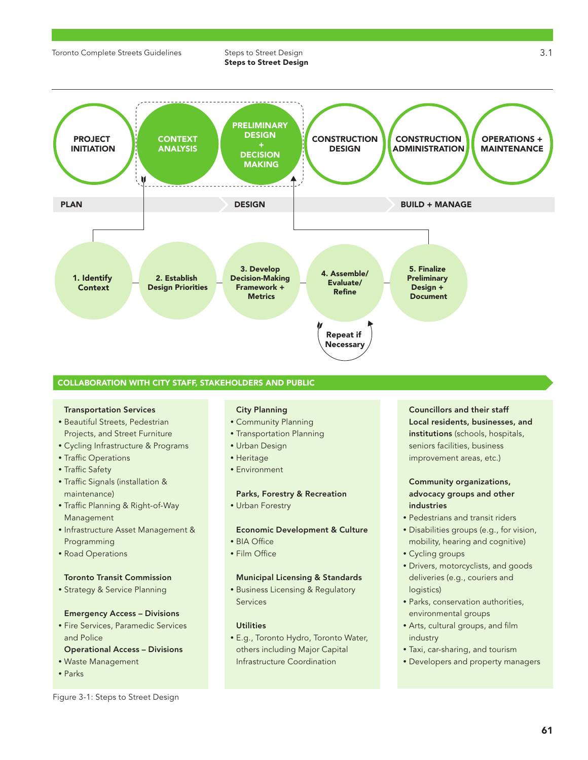

#### COLLABORATION WITH CITY STAFF, STAKEHOLDERS AND PUBLIC

#### Transportation Services

- Beautiful Streets, Pedestrian Projects, and Street Furniture
- Cycling Infrastructure & Programs
- Traffic Operations
- Traffic Safety
- Traffic Signals (installation & maintenance)
- Traffic Planning & Right-of-Way Management
- Infrastructure Asset Management & Programming
- Road Operations

#### Toronto Transit Commission

• Strategy & Service Planning

#### Emergency Access – Divisions

- Fire Services, Paramedic Services and Police
- Operational Access Divisions
- Waste Management
- Parks

#### Figure 3-1: Steps to Street Design

#### City Planning

- Community Planning
- Transportation Planning
- Urban Design
- Heritage
- Environment

#### Parks, Forestry & Recreation

• Urban Forestry

#### Economic Development & Culture

- BIA Office
- Film Office

#### Municipal Licensing & Standards

• Business Licensing & Regulatory Services

#### **Utilities**

• E.g., Toronto Hydro, Toronto Water, others including Major Capital Infrastructure Coordination

### Councillors and their staff Local residents, businesses, and institutions (schools, hospitals, seniors facilities, business improvement areas, etc.)

### Community organizations, advocacy groups and other industries

- Pedestrians and transit riders
- Disabilities groups (e.g., for vision, mobility, hearing and cognitive)
- Cycling groups
- Drivers, motorcyclists, and goods deliveries (e.g., couriers and logistics)
- Parks, conservation authorities, environmental groups
- Arts, cultural groups, and film industry
- Taxi, car-sharing, and tourism
- Developers and property managers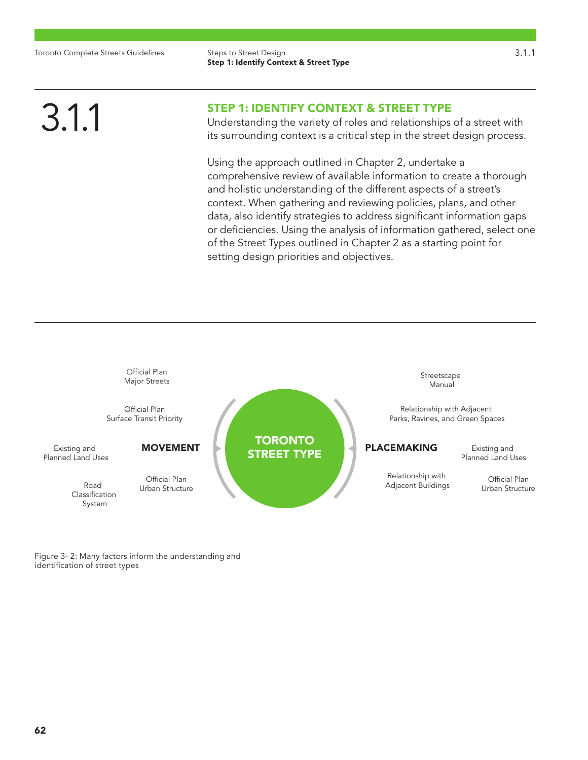Steps to Street Design Step 1: Identify Context & Street Type

**3.1.1** STEP 1: IDENTIFY CONTEXT & STREET TYPE<br>Understanding the variety of roles and relationships<br>its surrounding context is a critical step in the street Understanding the variety of roles and relationships of a street with its surrounding context is a critical step in the street design process.

> Using the approach outlined in Chapter 2, undertake a comprehensive review of available information to create a thorough and holistic understanding of the different aspects of a street's context. When gathering and reviewing policies, plans, and other data, also identify strategies to address significant information gaps or deficiencies. Using the analysis of information gathered, select one of the Street Types outlined in Chapter 2 as a starting point for setting design priorities and objectives.



Figure 3- 2: Many factors inform the understanding and identification of street types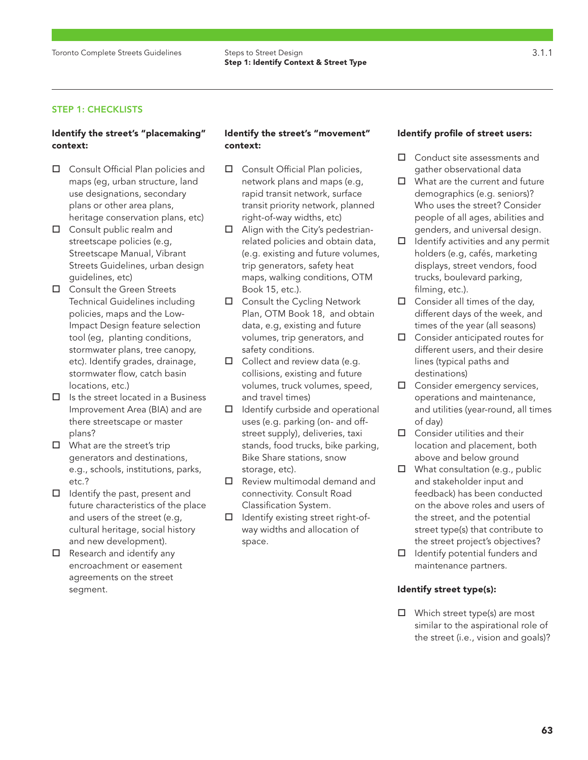#### STEP 1: CHECKLISTS

#### Identify the street's "placemaking" context:

- □ Consult Official Plan policies and maps (eg, urban structure, land use designations, secondary plans or other area plans, heritage conservation plans, etc)
- □ Consult public realm and streetscape policies (e.g, Streetscape Manual, Vibrant Streets Guidelines, urban design guidelines, etc)
- □ Consult the Green Streets Technical Guidelines including policies, maps and the Low-Impact Design feature selection tool (eg, planting conditions, stormwater plans, tree canopy, etc). Identify grades, drainage, stormwater flow, catch basin locations, etc.)
- $\Box$  Is the street located in a Business Improvement Area (BIA) and are there streetscape or master plans?
- $\Box$  What are the street's trip generators and destinations, e.g., schools, institutions, parks, etc.?
- $\Box$  Identify the past, present and future characteristics of the place and users of the street (e.g, cultural heritage, social history and new development).
- $\Box$  Research and identify any encroachment or easement agreements on the street segment.

#### Identify the street's "movement" context:

- □ Consult Official Plan policies, network plans and maps (e.g, rapid transit network, surface transit priority network, planned right-of-way widths, etc)
- $\Box$  Align with the City's pedestrianrelated policies and obtain data, (e.g. existing and future volumes, trip generators, safety heat maps, walking conditions, OTM Book 15, etc.).
- □ Consult the Cycling Network Plan, OTM Book 18, and obtain data, e.g, existing and future volumes, trip generators, and safety conditions.
- $\Box$  Collect and review data (e.g. collisions, existing and future volumes, truck volumes, speed, and travel times)
- $\Box$  Identify curbside and operational uses (e.g. parking (on- and offstreet supply), deliveries, taxi stands, food trucks, bike parking, Bike Share stations, snow storage, etc).
- □ Review multimodal demand and connectivity. Consult Road Classification System.
- $\Box$  Identify existing street right-ofway widths and allocation of space.

#### Identify profile of street users:

- □ Conduct site assessments and gather observational data
- $\Box$  What are the current and future demographics (e.g. seniors)? Who uses the street? Consider people of all ages, abilities and genders, and universal design.
- $\Box$  Identify activities and any permit holders (e.g, cafés, marketing displays, street vendors, food trucks, boulevard parking, filming, etc.).
- $\Box$  Consider all times of the day, different days of the week, and times of the year (all seasons)
- □ Consider anticipated routes for different users, and their desire lines (typical paths and destinations)
- □ Consider emergency services, operations and maintenance, and utilities (year-round, all times of day)
- $\Box$  Consider utilities and their location and placement, both above and below ground
- □ What consultation (e.g., public and stakeholder input and feedback) has been conducted on the above roles and users of the street, and the potential street type(s) that contribute to the street project's objectives?
- $\Box$  Identify potential funders and maintenance partners.

#### Identify street type(s):

 $\Box$  Which street type(s) are most similar to the aspirational role of the street (i.e., vision and goals)?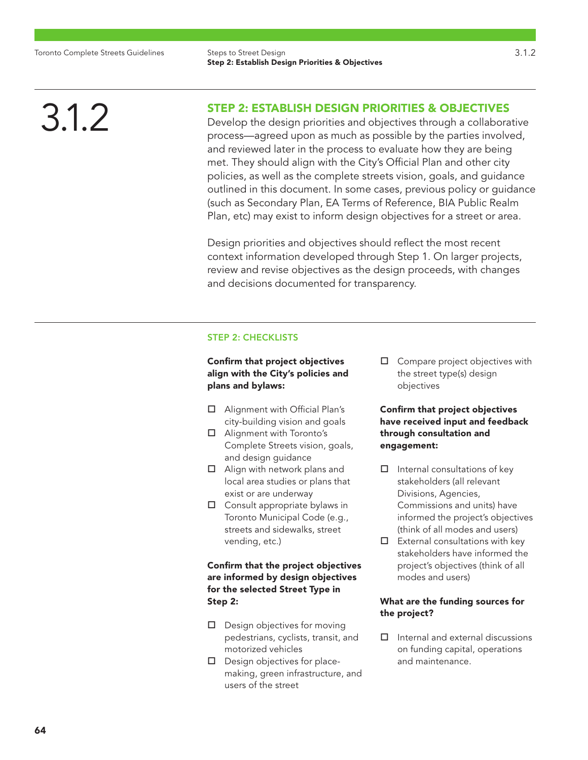**3.1.2** STEP 2: ESTABLISH DESIGN PRIORITIES & OBJECTIVES<br>Develop the design priorities and objectives through a collabora<br>process—agreed upon as much as possible by the parties involv Develop the design priorities and objectives through a collaborative process—agreed upon as much as possible by the parties involved, and reviewed later in the process to evaluate how they are being met. They should align with the City's Official Plan and other city policies, as well as the complete streets vision, goals, and guidance outlined in this document. In some cases, previous policy or guidance (such as Secondary Plan, EA Terms of Reference, BIA Public Realm Plan, etc) may exist to inform design objectives for a street or area.

> Design priorities and objectives should reflect the most recent context information developed through Step 1. On larger projects, review and revise objectives as the design proceeds, with changes and decisions documented for transparency.

#### STEP 2: CHECKLISTS

Confirm that project objectives align with the City's policies and plans and bylaws:

- □ Alignment with Official Plan's city-building vision and goals
- Alignment with Toronto's Complete Streets vision, goals, and design guidance
- □ Align with network plans and local area studies or plans that exist or are underway
- □ Consult appropriate bylaws in Toronto Municipal Code (e.g., streets and sidewalks, street vending, etc.)

### Confirm that the project objectives are informed by design objectives for the selected Street Type in Step 2:

- $\square$  Design objectives for moving pedestrians, cyclists, transit, and motorized vehicles
- $\Box$  Design objectives for placemaking, green infrastructure, and users of the street

 $\Box$  Compare project objectives with the street type(s) design objectives

### Confirm that project objectives have received input and feedback through consultation and engagement:

- $\Box$  Internal consultations of key stakeholders (all relevant Divisions, Agencies, Commissions and units) have informed the project's objectives (think of all modes and users)
- $\Box$  External consultations with key stakeholders have informed the project's objectives (think of all modes and users)

### What are the funding sources for the project?

 $\Box$  Internal and external discussions on funding capital, operations and maintenance.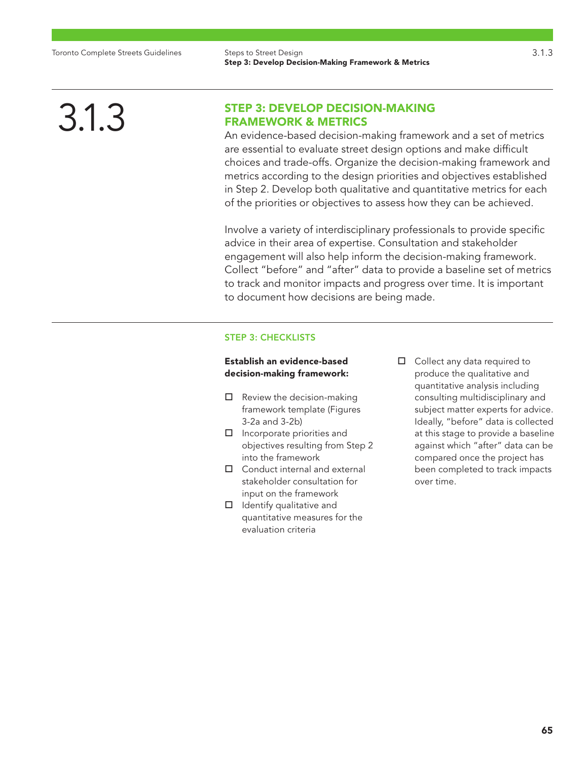## 3.1.3 STEP 3: DEVELOP DECISION-MAKING<br>An evidence-based decision-making framework and a set of metrics FRAMEWORK & METRICS

are essential to evaluate street design options and make difficult choices and trade-offs. Organize the decision-making framework and metrics according to the design priorities and objectives established in Step 2. Develop both qualitative and quantitative metrics for each of the priorities or objectives to assess how they can be achieved.

Involve a variety of interdisciplinary professionals to provide specific advice in their area of expertise. Consultation and stakeholder engagement will also help inform the decision-making framework. Collect "before" and "after" data to provide a baseline set of metrics to track and monitor impacts and progress over time. It is important to document how decisions are being made.

#### STEP 3: CHECKLISTS

#### Establish an evidence-based decision-making framework:

- $\Box$  Review the decision-making framework template (Figures 3-2a and 3-2b)
- $\Box$  Incorporate priorities and objectives resulting from Step 2 into the framework
- □ Conduct internal and external stakeholder consultation for input on the framework
- $\Box$  Identify qualitative and quantitative measures for the evaluation criteria
- $\Box$  Collect any data required to produce the qualitative and quantitative analysis including consulting multidisciplinary and subject matter experts for advice. Ideally, "before" data is collected at this stage to provide a baseline against which "after" data can be compared once the project has been completed to track impacts over time.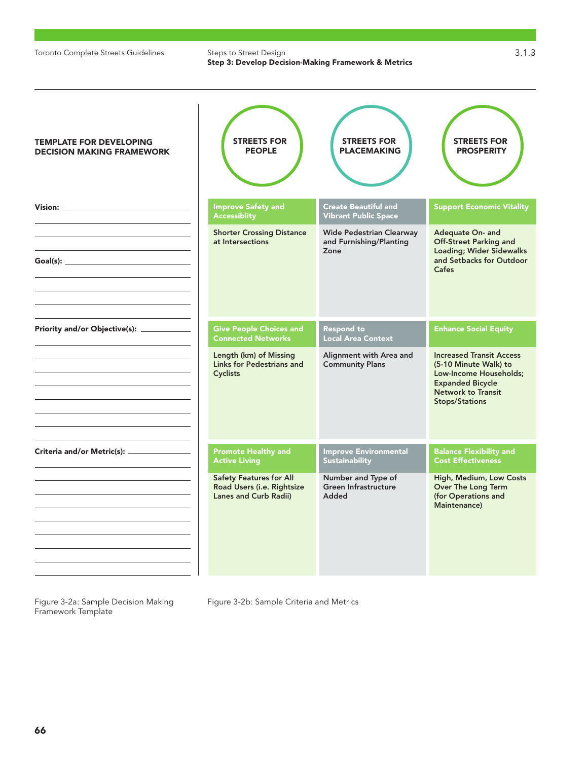Steps to Street Design Step 3: Develop Decision-Making Framework & Metrics

| <b>TEMPLATE FOR DEVELOPING</b><br><b>DECISION MAKING FRAMEWORK</b> | <b>STREETS FOR</b><br><b>PEOPLE</b>                                                   | <b>STREETS FOR</b><br><b>PLACEMAKING</b>                           | <b>STREETS FOR</b><br><b>PROSPERITY</b>                                                                                                                             |
|--------------------------------------------------------------------|---------------------------------------------------------------------------------------|--------------------------------------------------------------------|---------------------------------------------------------------------------------------------------------------------------------------------------------------------|
|                                                                    | <b>Improve Safety and</b><br><b>Accessiblity</b>                                      | <b>Create Beautiful and</b><br>Vibrant Public Space                | <b>Support Economic Vitality</b>                                                                                                                                    |
|                                                                    | <b>Shorter Crossing Distance</b><br>at Intersections                                  | <b>Wide Pedestrian Clearway</b><br>and Furnishing/Planting<br>Zone | Adequate On- and<br>Off-Street Parking and<br><b>Loading; Wider Sidewalks</b><br>and Setbacks for Outdoor<br>Cafes                                                  |
| Priority and/or Objective(s): ___________                          | <b>Give People Choices and</b><br><b>Connected Networks</b>                           | <b>Respond to</b><br><b>Local Area Context</b>                     | <b>Enhance Social Equity</b>                                                                                                                                        |
|                                                                    | Length (km) of Missing<br>Links for Pedestrians and<br><b>Cyclists</b>                | Alignment with Area and<br><b>Community Plans</b>                  | <b>Increased Transit Access</b><br>(5-10 Minute Walk) to<br>Low-Income Households;<br><b>Expanded Bicycle</b><br><b>Network to Transit</b><br><b>Stops/Stations</b> |
| Criteria and/or Metric(s): _______________                         | <b>Promote Healthy and</b><br><b>Active Living</b>                                    | <b>Improve Environmental</b><br><b>Sustainability</b>              | <b>Balance Flexibility and</b><br><b>Cost Effectiveness</b>                                                                                                         |
|                                                                    | <b>Safety Features for All</b><br>Road Users (i.e. Rightsize<br>Lanes and Curb Radii) | Number and Type of<br>Green Infrastructure<br>Added                | High, Medium, Low Costs<br>Over The Long Term<br>(for Operations and<br>Maintenance)                                                                                |

Figure 3-2a: Sample Decision Making Framework Template

Figure 3-2b: Sample Criteria and Metrics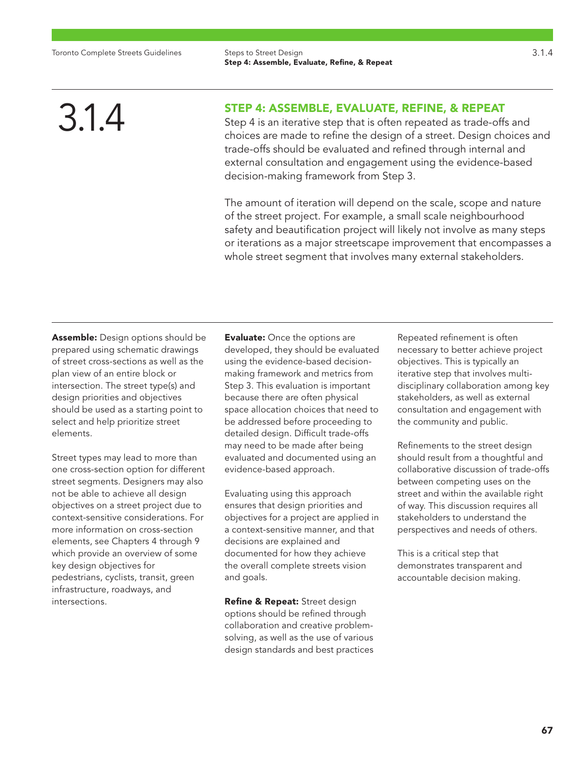STEP 4: ASSEMBLE, EVALUATE, REFINE, & REPEAT<br>Step 4 is an iterative step that is often repeated as trade-offs and<br>choices are made to refine the design of a street. Design choices and Step 4 is an iterative step that is often repeated as trade-offs and trade-offs should be evaluated and refined through internal and external consultation and engagement using the evidence-based decision-making framework from Step 3.

> The amount of iteration will depend on the scale, scope and nature of the street project. For example, a small scale neighbourhood safety and beautification project will likely not involve as many steps or iterations as a major streetscape improvement that encompasses a whole street segment that involves many external stakeholders.

Assemble: Design options should be prepared using schematic drawings of street cross-sections as well as the plan view of an entire block or intersection. The street type(s) and design priorities and objectives should be used as a starting point to select and help prioritize street elements.

Street types may lead to more than one cross-section option for different street segments. Designers may also not be able to achieve all design objectives on a street project due to context-sensitive considerations. For more information on cross-section elements, see Chapters 4 through 9 which provide an overview of some key design objectives for pedestrians, cyclists, transit, green infrastructure, roadways, and intersections.

**Evaluate:** Once the options are developed, they should be evaluated using the evidence-based decisionmaking framework and metrics from Step 3. This evaluation is important because there are often physical space allocation choices that need to be addressed before proceeding to detailed design. Difficult trade-offs may need to be made after being evaluated and documented using an evidence-based approach.

Evaluating using this approach ensures that design priorities and objectives for a project are applied in a context-sensitive manner, and that decisions are explained and documented for how they achieve the overall complete streets vision and goals.

Refine & Repeat: Street design options should be refined through collaboration and creative problemsolving, as well as the use of various design standards and best practices

Repeated refinement is often necessary to better achieve project objectives. This is typically an iterative step that involves multidisciplinary collaboration among key stakeholders, as well as external consultation and engagement with the community and public.

Refinements to the street design should result from a thoughtful and collaborative discussion of trade-offs between competing uses on the street and within the available right of way. This discussion requires all stakeholders to understand the perspectives and needs of others.

This is a critical step that demonstrates transparent and accountable decision making.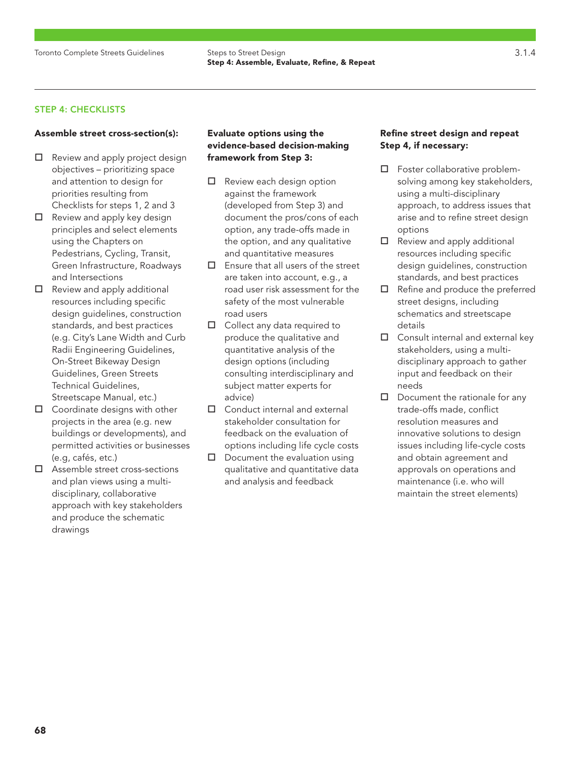#### STEP 4: CHECKLISTS

#### Assemble street cross-section(s):

- $\Box$  Review and apply project design objectives – prioritizing space and attention to design for priorities resulting from Checklists for steps 1, 2 and 3
- $\Box$  Review and apply key design principles and select elements using the Chapters on Pedestrians, Cycling, Transit, Green Infrastructure, Roadways and Intersections
- □ Review and apply additional resources including specific design guidelines, construction standards, and best practices (e.g. City's Lane Width and Curb Radii Engineering Guidelines, On-Street Bikeway Design Guidelines, Green Streets Technical Guidelines, Streetscape Manual, etc.)
- $\Box$  Coordinate designs with other projects in the area (e.g. new buildings or developments), and permitted activities or businesses (e.g, cafés, etc.)
- □ Assemble street cross-sections and plan views using a multidisciplinary, collaborative approach with key stakeholders and produce the schematic drawings

### Evaluate options using the evidence-based decision-making framework from Step 3:

- $\Box$  Review each design option against the framework (developed from Step 3) and document the pros/cons of each option, any trade-offs made in the option, and any qualitative and quantitative measures
- $\Box$  Ensure that all users of the street are taken into account, e.g., a road user risk assessment for the safety of the most vulnerable road users
- □ Collect any data required to produce the qualitative and quantitative analysis of the design options (including consulting interdisciplinary and subject matter experts for advice)
- Conduct internal and external stakeholder consultation for feedback on the evaluation of options including life cycle costs
- $\square$  Document the evaluation using qualitative and quantitative data and analysis and feedback

### Refine street design and repeat Step 4, if necessary:

- $\Box$  Foster collaborative problemsolving among key stakeholders, using a multi-disciplinary approach, to address issues that arise and to refine street design options
- $\Box$  Review and apply additional resources including specific design guidelines, construction standards, and best practices
- $\Box$  Refine and produce the preferred street designs, including schematics and streetscape details
- $\Box$  Consult internal and external key stakeholders, using a multidisciplinary approach to gather input and feedback on their needs
- $\Box$  Document the rationale for any trade-offs made, conflict resolution measures and innovative solutions to design issues including life-cycle costs and obtain agreement and approvals on operations and maintenance (i.e. who will maintain the street elements)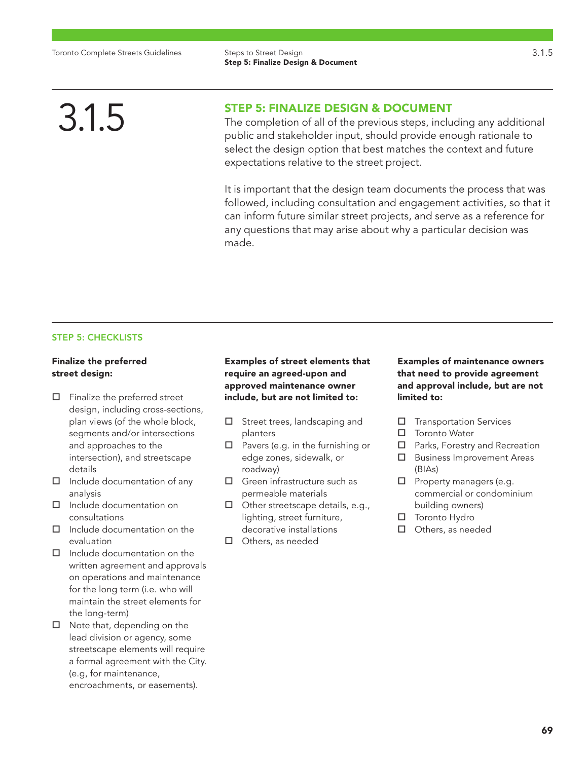Steps to Street Design Step 5: Finalize Design & Document

3.1.5 STEP 5: FINALIZE DESIGN & DOCUMENT<br>The completion of all of the previous steps, inclu<br>public and stakeholder input, should provide ene The completion of all of the previous steps, including any additional public and stakeholder input, should provide enough rationale to select the design option that best matches the context and future expectations relative to the street project.

> It is important that the design team documents the process that was followed, including consultation and engagement activities, so that it can inform future similar street projects, and serve as a reference for any questions that may arise about why a particular decision was made.

### STEP 5: CHECKLISTS

#### Finalize the preferred street design:

- $\Box$  Finalize the preferred street design, including cross-sections, plan views (of the whole block, segments and/or intersections and approaches to the intersection), and streetscape details
- $\Box$  Include documentation of any analysis
- □ Include documentation on consultations
- $\Box$  Include documentation on the evaluation
- $\Box$  Include documentation on the written agreement and approvals on operations and maintenance for the long term (i.e. who will maintain the street elements for the long-term)
- $\Box$  Note that, depending on the lead division or agency, some streetscape elements will require a formal agreement with the City. (e.g, for maintenance, encroachments, or easements).

### Examples of street elements that require an agreed-upon and approved maintenance owner include, but are not limited to:

- $\square$  Street trees, landscaping and planters
- $\Box$  Pavers (e.g. in the furnishing or edge zones, sidewalk, or roadway)
- $\Box$  Green infrastructure such as permeable materials
- □ Other streetscape details, e.g., lighting, street furniture, decorative installations
- $\Box$  Others, as needed

### Examples of maintenance owners that need to provide agreement and approval include, but are not limited to:

- $\Box$  Transportation Services
- □ Toronto Water
- $\Box$  Parks, Forestry and Recreation
- $\Box$  Business Improvement Areas (BIAs)
- $\Box$  Property managers (e.g. commercial or condominium building owners)
- **T** Toronto Hydro
- $\Box$  Others, as needed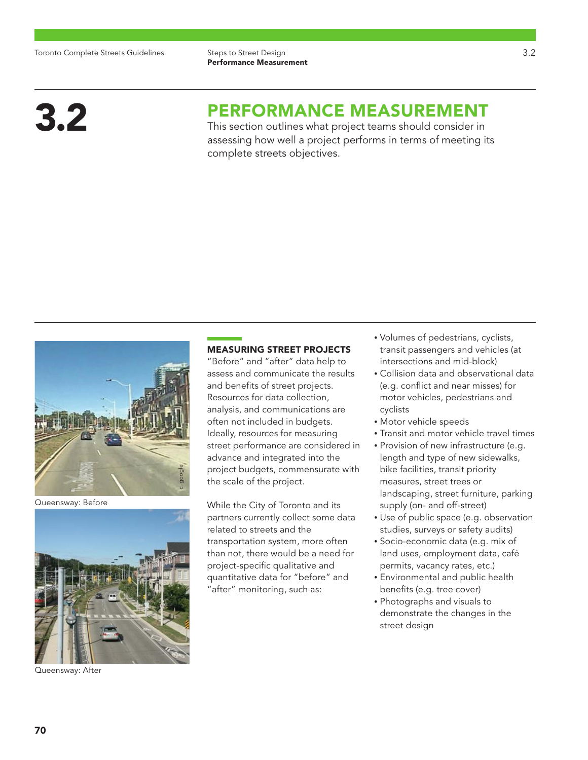Toronto Complete Streets Guidelines

Steps to Street Design Performance Measurement

## **3.2** PERFORMANCE MEASUREMENT

This section outlines what project teams should consider in assessing how well a project performs in terms of meeting its complete streets objectives.



Queensway: Before



Queensway: After

### MEASURING STREET PROJECTS

"Before" and "after" data help to assess and communicate the results and benefits of street projects. Resources for data collection, analysis, and communications are often not included in budgets. Ideally, resources for measuring street performance are considered in advance and integrated into the project budgets, commensurate with the scale of the project.

While the City of Toronto and its partners currently collect some data related to streets and the transportation system, more often than not, there would be a need for project-specific qualitative and quantitative data for "before" and "after" monitoring, such as:

- Volumes of pedestrians, cyclists, transit passengers and vehicles (at intersections and mid-block)
- Collision data and observational data (e.g. conflict and near misses) for motor vehicles, pedestrians and cyclists
- Motor vehicle speeds
- Transit and motor vehicle travel times
- Provision of new infrastructure (e.g. length and type of new sidewalks, bike facilities, transit priority measures, street trees or landscaping, street furniture, parking supply (on- and off-street)
- Use of public space (e.g. observation studies, surveys or safety audits)
- Socio-economic data (e.g. mix of land uses, employment data, café permits, vacancy rates, etc.)
- Environmental and public health benefits (e.g. tree cover)
- Photographs and visuals to demonstrate the changes in the street design